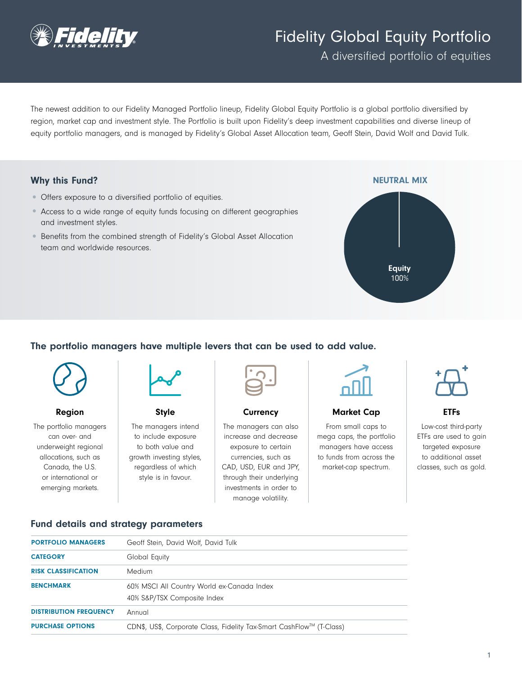

# Fidelity Global Equity Portfolio

A diversified portfolio of equities

The newest addition to our Fidelity Managed Portfolio lineup, Fidelity Global Equity Portfolio is a global portfolio diversified by region, market cap and investment style. The Portfolio is built upon Fidelity's deep investment capabilities and diverse lineup of equity portfolio managers, and is managed by Fidelity's Global Asset Allocation team, Geoff Stein, David Wolf and David Tulk.

## Why this Fund?

- Offers exposure to a diversified portfolio of equities.
- Access to a wide range of equity funds focusing on different geographies and investment styles.
- Benefits from the combined strength of Fidelity's Global Asset Allocation team and worldwide resources.



# The portfolio managers have multiple levers that can be used to add value.



#### Region

The portfolio managers can over- and underweight regional allocations, such as Canada, the U.S. or international or emerging markets.



Style The managers intend to include exposure to both value and growth investing styles, regardless of which style is in favour.



**Currency** 

The managers can also increase and decrease exposure to certain currencies, such as CAD, USD, EUR and JPY, through their underlying investments in order to manage volatility.



#### Market Cap

From small caps to mega caps, the portfolio managers have access to funds from across the market-cap spectrum.



ETFs

Low-cost third-party ETFs are used to gain targeted exposure to additional asset classes, such as gold.

#### Fund details and strategy parameters

| <b>PORTFOLIO MANAGERS</b>     | Geoff Stein, David Wolf, David Tulk                                       |
|-------------------------------|---------------------------------------------------------------------------|
| <b>CATEGORY</b>               | Global Equity                                                             |
| <b>RISK CLASSIFICATION</b>    | Medium                                                                    |
| <b>BENCHMARK</b>              | 60% MSCI All Country World ex-Canada Index<br>40% S&P/TSX Composite Index |
| <b>DISTRIBUTION FREQUENCY</b> | Annual                                                                    |
| <b>PURCHASE OPTIONS</b>       | CDN\$, US\$, Corporate Class, Fidelity Tax-Smart CashFlow™ (T-Class)      |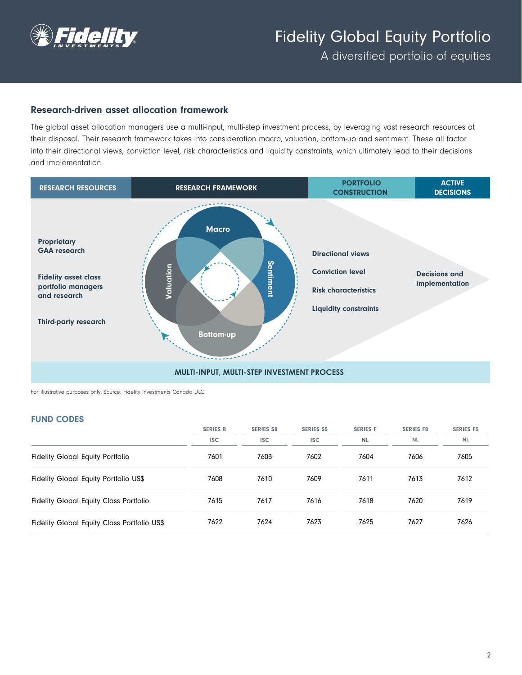

A diversified portfolio of equities

## Research-driven asset allocation framework

The global asset allocation managers use a multi-input, multi-step investment process, by leveraging vast research resources at their disposal. Their research framework takes into consideration macro, valuation, bottom-up and sentiment. These all factor into their directional views, conviction level, risk characteristics and liquidity constraints, which ultimately lead to their decisions and implementation.



For Illustrative purposes only. Source: Fidelity Investments Canada ULC.

#### FUND CODES

|                                               | <b>SERIES B</b> | <b>SERIES S8</b> | <b>SERIES S5</b> | <b>SERIES F</b> | <b>SERIES F8</b> | <b>SERIES F5</b> |
|-----------------------------------------------|-----------------|------------------|------------------|-----------------|------------------|------------------|
|                                               | <b>ISC</b>      | <b>ISC</b>       | <b>ISC</b>       | <b>NL</b>       | <b>NL</b>        | <b>NL</b>        |
| <b>Fidelity Global Equity Portfolio</b>       | 7601            | 7603             | 7602             | 7604            | 7606             | 7605             |
| Fidelity Global Equity Portfolio US\$         | 7608            | 7610             | 7609             | 7611            | 7613             | 7612             |
| <b>Fidelity Global Equity Class Portfolio</b> | 7615            | 7617             | 7616             | 7618            | 7620             | 7619             |
| Fidelity Global Equity Class Portfolio US\$   | 7622            | 7624             | 7623             | 7625            | 7627             | 7626             |